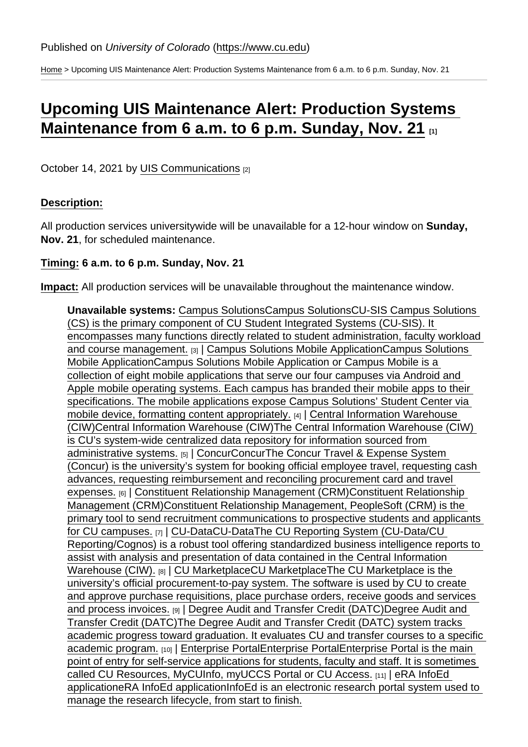[Home](https://www.cu.edu/) > Upcoming UIS Maintenance Alert: Production Systems Maintenance from 6 a.m. to 6 p.m. Sunday, Nov. 21

## [Upcoming UIS Maintenance Alert: Production Systems](https://www.cu.edu/blog/maintenance-matters/upcoming-uis-maintenance-alert-production-systems-maintenance-6-am-6-pm-20)  [Maintenance from 6 a.m. to 6 p.m. Sunday, Nov. 21](https://www.cu.edu/blog/maintenance-matters/upcoming-uis-maintenance-alert-production-systems-maintenance-6-am-6-pm-20)  $_{\text{H}}$

October 14, 2021 by [UIS Communications](https://www.cu.edu/blog/maintenance-matters/author/28671) [2]

## Description:

All production services universitywide will be unavailable for a 12-hour window on Sunday, Nov. 21, for scheduled maintenance.

Timing: 6 a.m. to 6 p.m. Sunday, Nov. 21

Impact: All production services will be unavailable throughout the maintenance window.

Unavailable systems: [Campus SolutionsC](https://www.cu.edu/uis-glossary/campus-solutions)ampus SolutionsCU-SIS Campus Solutions (CS) is the primary component of CU Student Integrated Systems (CU-SIS). It encompasses many functions directly related to student administration, faculty workload and course management. [3] | [Campus Solutions Mobile Application](https://www.cu.edu/uis-glossary/campus-solutions-mobile-application)Campus Solutions Mobile ApplicationCampus Solutions Mobile Application or Campus Mobile is a collection of eight mobile applications that serve our four campuses via Android and Apple mobile operating systems. Each campus has branded their mobile apps to their specifications. The mobile applications expose Campus Solutions' Student Center via mobile device, formatting content appropriately. [4] | [Central Information Warehouse](https://www.cu.edu/uis-glossary/central-information-warehouse-ciw)  [\(CIW\)](https://www.cu.edu/uis-glossary/central-information-warehouse-ciw)Central Information Warehouse (CIW)The Central Information Warehouse (CIW) is CU's system-wide centralized data repository for information sourced from administrative systems. [5] | [ConcurC](https://www.cu.edu/uis-glossary/concur)oncurThe Concur Travel & Expense System (Concur) is the university's system for booking official employee travel, requesting cash advances, requesting reimbursement and reconciling procurement card and travel expenses. [6] | [Constituent Relationship Management \(CRM\)C](https://www.cu.edu/uis-glossary/constituent-relationship-management-crm)onstituent Relationship Management (CRM)Constituent Relationship Management, PeopleSoft (CRM) is the primary tool to send recruitment communications to prospective students and applicants for CU campuses. [7] | [CU-DataC](https://www.cu.edu/uis-glossary/cu-data)U-DataThe CU Reporting System (CU-Data/CU Reporting/Cognos) is a robust tool offering standardized business intelligence reports to assist with analysis and presentation of data contained in the Central Information Warehouse (CIW). [8] | [CU MarketplaceC](https://www.cu.edu/uis-glossary/cu-marketplace)U MarketplaceThe CU Marketplace is the university's official procurement-to-pay system. The software is used by CU to create and approve purchase requisitions, place purchase orders, receive goods and services and process invoices. [9] [Degree Audit and Transfer Credit \(DATC\)](https://www.cu.edu/uis-glossary/degree-audit-and-transfer-credit-datc)Degree Audit and Transfer Credit (DATC)The Degree Audit and Transfer Credit (DATC) system tracks academic progress toward graduation. It evaluates CU and transfer courses to a specific academic program. [10] | [Enterprise Portal](https://www.cu.edu/uis-glossary/enterprise-portal)Enterprise PortalEnterprise Portal is the main point of entry for self-service applications for students, faculty and staff. It is sometimes called CU Resources, MyCUInfo, myUCCS Portal or CU Access. [11] | [eRA InfoEd](https://www.cu.edu/uis-glossary/era-infoed-application)  [application](https://www.cu.edu/uis-glossary/era-infoed-application)eRA InfoEd applicationInfoEd is an electronic research portal system used to manage the research lifecycle, from start to finish.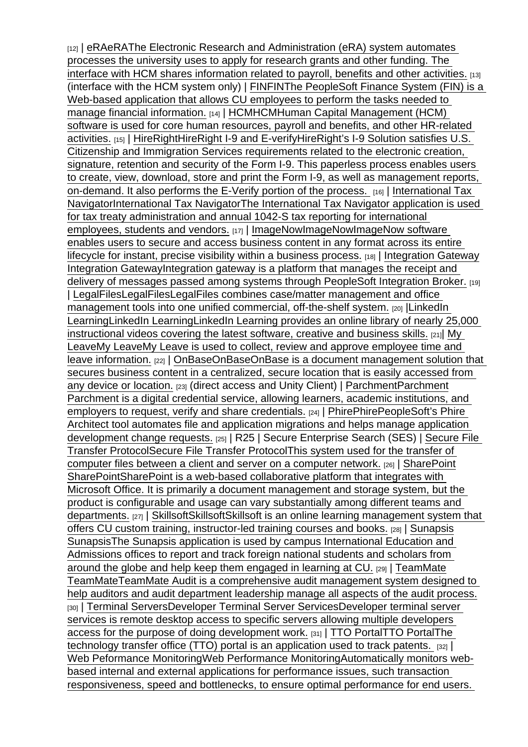[12] [eRA](https://www.cu.edu/uis-glossary/era)eRAThe Electronic Research and Administration (eRA) system automates processes the university uses to apply for research grants and other funding. The interface with HCM shares information related to payroll, benefits and other activities. [13] (interface with the HCM system only) | [FIN](https://www.cu.edu/uis-glossary/fin)FINThe PeopleSoft Finance System (FIN) is a Web-based application that allows CU employees to perform the tasks needed to manage financial information. [14] | [HCM](https://www.cu.edu/uis-glossary/hcm)HCMHuman Capital Management (HCM) software is used for core human resources, payroll and benefits, and other HR-related activities. [15] | [HireRightH](https://www.cu.edu/uis-glossary/hireright-i-9-and-e-verify)ireRight I-9 and E-verifyHireRight's I-9 Solution satisfies U.S. Citizenship and Immigration Services requirements related to the electronic creation, signature, retention and security of the Form I-9. This paperless process enables users to create, view, download, store and print the Form I-9, as well as management reports, on-demand. It also performs the E-Verify portion of the process. [16] | [International Tax](https://www.cu.edu/uis-glossary/international-tax-navigator)  [Navigator](https://www.cu.edu/uis-glossary/international-tax-navigator)International Tax NavigatorThe International Tax Navigator application is used for tax treaty administration and annual 1042-S tax reporting for international employees, students and vendors. [17] | [ImageNow](https://www.cu.edu/uis-glossary/imagenow)ImageNowImageNow software enables users to secure and access business content in any format across its entire lifecycle for instant, precise visibility within a business process.  $[18]$  | [Integration Gateway](https://www.cu.edu/uis-glossary/integration-gateway) Integration GatewayIntegration gateway is a platform that manages the receipt and delivery of messages passed among systems through PeopleSoft Integration Broker. [19] | [LegalFiles](https://www.cu.edu/uis-glossary/legalfiles)LegalFilesLegalFiles combines case/matter management and office management tools into one unified commercial, off-the-shelf system. [20] LinkedIn [LearningL](https://www.cu.edu/uis-glossary/linkedin-learning)inkedIn LearningLinkedIn Learning provides an online library of nearly 25,000 instructional videos covering the latest software, creative and business skills. [21] My [LeaveM](https://www.cu.edu/uis-glossary/my-leave)y LeaveMy Leave is used to collect, review and approve employee time and leave information. [22] | [OnBase](https://www.cu.edu/uis-glossary/onbase)OnBaseOnBase is a document management solution that secures business content in a centralized, secure location that is easily accessed from any device or location. [23] (direct access and Unity Client) | [ParchmentP](https://www.cu.edu/uis-glossary/parchment)archment Parchment is a digital credential service, allowing learners, academic institutions, and employers to request, verify and share credentials. [24] [PhireP](https://www.cu.edu/uis-glossary/phire)hirePeopleSoft's Phire Architect tool automates file and application migrations and helps manage application development change requests. [25] | R25 | Secure Enterprise Search (SES) | [Secure File](https://www.cu.edu/uis-glossary/secure-file-transfer-protocol)  [Transfer Protocol](https://www.cu.edu/uis-glossary/secure-file-transfer-protocol)Secure File Transfer ProtocolThis system used for the transfer of computer files between a client and server on a computer network. [26] | [SharePoint](https://www.cu.edu/uis-glossary/sharepoint) SharePointSharePoint is a web-based collaborative platform that integrates with Microsoft Office. It is primarily a document management and storage system, but the product is configurable and usage can vary substantially among different teams and departments. [27] | [SkillsoftS](https://www.cu.edu/uis-glossary/skillsoft)killsoftSkillsoft is an online learning management system that offers CU custom training, instructor-led training courses and books. [28] | [Sunapsis](https://www.cu.edu/uis-glossary/sunapsis) SunapsisThe Sunapsis application is used by campus International Education and Admissions offices to report and track foreign national students and scholars from around the globe and help keep them engaged in learning at CU. [29] | [TeamMate](https://www.cu.edu/uis-glossary/teammate) TeamMateTeamMate Audit is a comprehensive audit management system designed to help auditors and audit department leadership manage all aspects of the audit process. [30] | [Terminal Servers](https://www.cu.edu/uis-glossary/developer-terminal-server-services)Developer Terminal Server ServicesDeveloper terminal server services is remote desktop access to specific servers allowing multiple developers access for the purpose of doing development work. [31] | [TTO Portal](https://www.cu.edu/uis-glossary/tto-portal)TTO PortalThe technology transfer office (TTO) portal is an application used to track patents.  $[32]$  | [Web Peformance Monitoring](https://www.cu.edu/uis-glossary/web-performance-monitoring)Web Performance MonitoringAutomatically monitors webbased internal and external applications for performance issues, such transaction responsiveness, speed and bottlenecks, to ensure optimal performance for end users.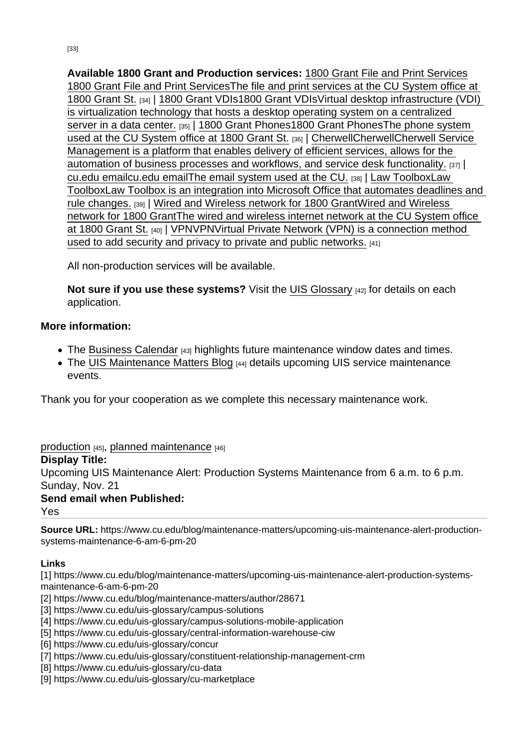[33]

Available 1800 Grant and Production services: [1800 Grant File and Print Services](https://www.cu.edu/uis-glossary/1800-grant-file-and-print-services) 1800 Grant File and Print ServicesThe file and print services at the CU System office at 1800 Grant St. [34] | [1800 Grant VDIs1](https://www.cu.edu/uis-glossary/1800-grant-vdis)800 Grant VDIsVirtual desktop infrastructure (VDI) is virtualization technology that hosts a desktop operating system on a centralized server in a data center. [35] | [1800 Grant Phones1](https://www.cu.edu/uis-glossary/1800-grant-phones)800 Grant PhonesThe phone system used at the CU System office at 1800 Grant St. [36] | [CherwellC](https://www.cu.edu/uis-glossary/cherwell)herwellCherwell Service Management is a platform that enables delivery of efficient services, allows for the automation of business processes and workflows, and service desk functionality. [37] | [cu.edu email](https://www.cu.edu/uis-glossary/cuedu-email)cu.edu emailThe email system used at the CU. [38] | [Law ToolboxL](https://www.cu.edu/uis-glossary/law-toolbox)aw ToolboxLaw Toolbox is an integration into Microsoft Office that automates deadlines and rule changes. [39] | [Wired and Wireless network for 1800 Grant](https://www.cu.edu/uis-glossary/wired-and-wireless-network-1800-grant)Wired and Wireless network for 1800 GrantThe wired and wireless internet network at the CU System office at 1800 Grant St. [40] | [VPN](https://www.cu.edu/uis-glossary/vpn)VPNVirtual Private Network (VPN) is a connection method used to add security and privacy to private and public networks. [41]

All non-production services will be available.

Not sure if you use these systems? Visit the [UIS Glossary](https://www.cu.edu/uis/maintenance-matters-blog/glossary)  $[42]$  for details on each application.

More information:

- The [Business Calendar](https://sp.cu.edu/UIS/Lists/Business Calendar/calendar.aspx) [43] highlights future maintenance window dates and times.
- The [UIS Maintenance Matters Blog](https://www.cu.edu/blog/uis-service-alerts) [44] details upcoming UIS service maintenance events.

Thank you for your cooperation as we complete this necessary maintenance work.

[production](https://www.cu.edu/blog/maintenance-matters/tag/production)  $[45]$ , [planned maintenance](https://www.cu.edu/blog/maintenance-matters/tag/planned-maintenance)  $[46]$ Display Title: Upcoming UIS Maintenance Alert: Production Systems Maintenance from 6 a.m. to 6 p.m. Sunday, Nov. 21 Send email when Published: Yes

Source URL: https://www.cu.edu/blog/maintenance-matters/upcoming-uis-maintenance-alert-productionsystems-maintenance-6-am-6-pm-20

Links

[1] https://www.cu.edu/blog/maintenance-matters/upcoming-uis-maintenance-alert-production-systemsmaintenance-6-am-6-pm-20

- [2] https://www.cu.edu/blog/maintenance-matters/author/28671
- [3] https://www.cu.edu/uis-glossary/campus-solutions
- [4] https://www.cu.edu/uis-glossary/campus-solutions-mobile-application
- [5] https://www.cu.edu/uis-glossary/central-information-warehouse-ciw

[6] https://www.cu.edu/uis-glossary/concur

- [7] https://www.cu.edu/uis-glossary/constituent-relationship-management-crm
- [8] https://www.cu.edu/uis-glossary/cu-data
- [9] https://www.cu.edu/uis-glossary/cu-marketplace